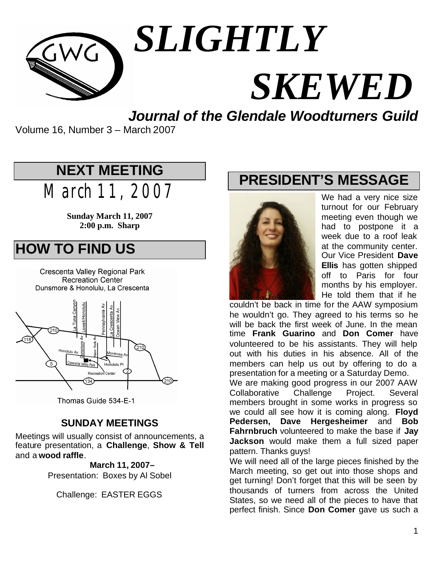

# *SLIGHTLY SKEWED*

*Journal of the Glendale Woodturners Guild*

Volume 16, Number 3 – March 2007

# **NEXT MEETING**

March 11, 2007

**Sunday March 11, 2007 2:00 p.m. Sharp**

# **HOW TO FIND US**

Crescenta Valley Regional Park **Recreation Center** Dunsmore & Honolulu, La Crescenta



Thomas Guide 534-E-1

#### **SUNDAY MEETINGS**

Meetings will usually consist of announcements, a feature presentation, a **Challenge**, **Show & Tell** and a **wood raffle**.

> **March 11, 2007–** Presentation: Boxes by Al Sobel

Challenge: EASTER EGGS

# **PRESIDENT'S MESSAGE**



We had a very nice size turnout for our February meeting even though we had to postpone it a week due to a roof leak at the community center. Our Vice President **Dave Ellis** has gotten shipped off to Paris for four months by his employer. He told them that if he

couldn't be back in time for the AAW symposium he wouldn't go. They agreed to his terms so he will be back the first week of June. In the mean time **Frank Guarino** and **Don Comer** have volunteered to be his assistants. They will help out with his duties in his absence. All of the members can help us out by offering to do a presentation for a meeting or a Saturday Demo.

We are making good progress in our 2007 AAW Collaborative Challenge Project. Several members brought in some works in progress so we could all see how it is coming along. **Floyd Pedersen, Dave Hergesheimer** and **Bob Fahrnbruch** volunteered to make the base if **Jay Jackson** would make them a full sized paper pattern. Thanks guys!

We will need all of the large pieces finished by the March meeting, so get out into those shops and get turning! Don't forget that this will be seen by thousands of turners from across the United States, so we need all of the pieces to have that perfect finish. Since **Don Comer** gave us such a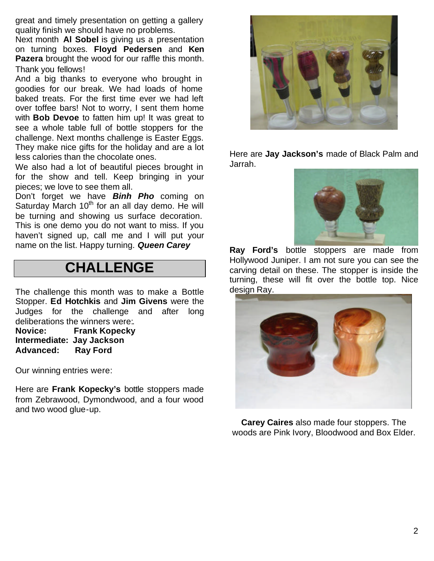great and timely presentation on getting a gallery quality finish we should have no problems.

Next month **Al Sobel** is giving us a presentation on turning boxes. **Floyd Pedersen** and **Ken Pazera** brought the wood for our raffle this month. Thank you fellows!

And a big thanks to everyone who brought in goodies for our break. We had loads of home baked treats. For the first time ever we had left over toffee bars! Not to worry, I sent them home with **Bob Devoe** to fatten him up! It was great to see a whole table full of bottle stoppers for the challenge. Next months challenge is Easter Eggs. They make nice gifts for the holiday and are a lot less calories than the chocolate ones.

We also had a lot of beautiful pieces brought in for the show and tell. Keep bringing in your pieces; we love to see them all.

Don't forget we have *Binh Pho* coming on Saturday March  $10<sup>th</sup>$  for an all day demo. He will be turning and showing us surface decoration. This is one demo you do not want to miss. If you haven't signed up, call me and I will put your name on the list. Happy turning. *Queen Carey*

#### **CHALLENGE**

The challenge this month was to make a Bottle Stopper. **Ed Hotchkis** and **Jim Givens** were the Judges for the challenge and after long deliberations the winners were:.

**Novice: Frank Kopecky Intermediate: Jay Jackson Advanced: Ray Ford**

Our winning entries were:

Here are **Frank Kopecky's** bottle stoppers made from Zebrawood, Dymondwood, and a four wood and two wood glue-up.



Here are **Jay Jackson's** made of Black Palm and Jarrah.



**Ray Ford's** bottle stoppers are made from Hollywood Juniper. I am not sure you can see the carving detail on these. The stopper is inside the turning, these will fit over the bottle top. Nice design Ray.



**Carey Caires** also made four stoppers. The woods are Pink Ivory, Bloodwood and Box Elder.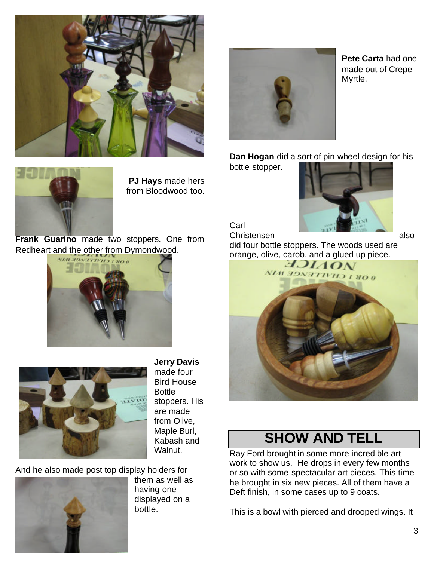



**Pete Carta** had one made out of Crepe Myrtle.

**Dan Hogan** did a sort of pin-wheel design for his

bottle stopper.



**PJ Hays** made hers from Bloodwood too.

**Frank Guarino** made two stoppers. One from Redheart and the other from Dymondwood.





**Jerry Davis** made four Bird House **Bottle** stoppers. His are made from Olive, Maple Burl, Kabash and Walnut.

And he also made post top display holders for



them as well as having one displayed on a bottle.



**Carl** 

Christensen also did four bottle stoppers. The woods used are



#### **SHOW AND TELL**

Ray Ford brought in some more incredible art work to show us. He drops in every few months or so with some spectacular art pieces. This time he brought in six new pieces. All of them have a Deft finish, in some cases up to 9 coats.

This is a bowl with pierced and drooped wings. It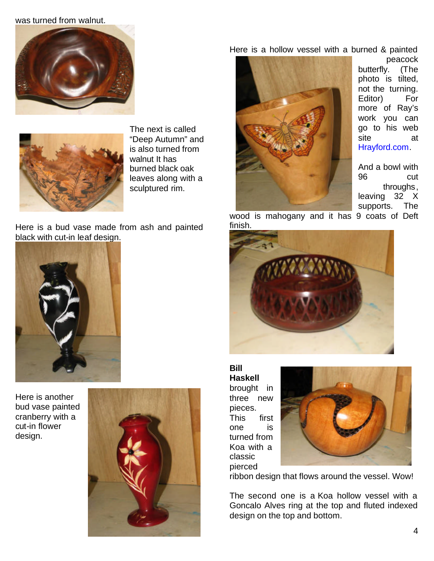#### was turned from walnut.





The next is called "Deep Autumn" and is also turned from walnut It has burned black oak leaves along with a sculptured rim.

Here is a bud vase made from ash and painted black with cut-in leaf design.



Here is another bud vase painted cranberry with a cut-in flower design.



Here is a hollow vessel with a burned & painted



peacock butterfly. (The photo is tilted, not the turning. Editor) For more of Ray's work you can go to his web site at Hrayford.com.

And a bowl with 96 cut throughs, leaving 32 X supports. The

wood is mahogany and it has 9 coats of Deft finish.



**Bill Haskell** brought in three new pieces. This first one is turned from Koa with a classic pierced



ribbon design that flows around the vessel. Wow!

The second one is a Koa hollow vessel with a Goncalo Alves ring at the top and fluted indexed design on the top and bottom.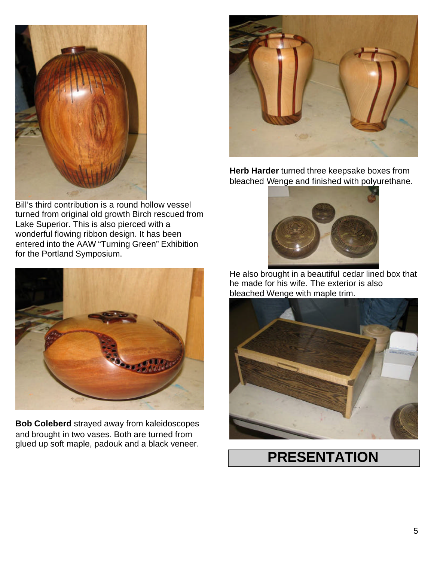

Bill's third contribution is a round hollow vessel turned from original old growth Birch rescued from Lake Superior. This is also pierced with a wonderful flowing ribbon design. It has been entered into the AAW "Turning Green" Exhibition for the Portland Symposium.



**Bob Coleberd** strayed away from kaleidoscopes and brought in two vases. Both are turned from glued up soft maple, padouk and a black veneer.



**Herb Harder** turned three keepsake boxes from bleached Wenge and finished with polyurethane.



He also brought in a beautiful cedar lined box that he made for his wife. The exterior is also bleached Wenge with maple trim.



### **PRESENTATION**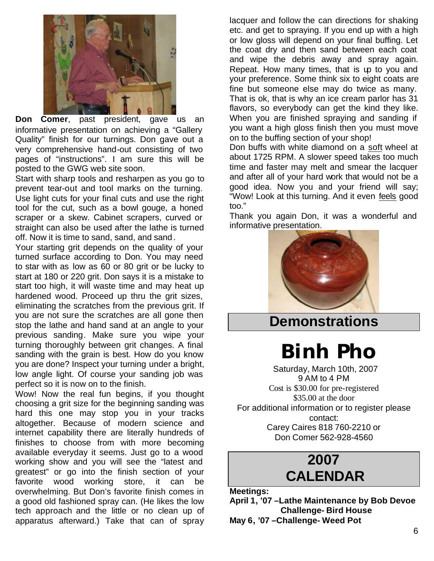

**Don Comer**, past president, gave us an informative presentation on achieving a "Gallery Quality" finish for our turnings. Don gave out a very comprehensive hand-out consisting of two pages of "instructions". I am sure this will be posted to the GWG web site soon.

Start with sharp tools and resharpen as you go to prevent tear-out and tool marks on the turning. Use light cuts for your final cuts and use the right tool for the cut, such as a bowl gouge, a honed scraper or a skew. Cabinet scrapers, curved or straight can also be used after the lathe is turned off. Now it is time to sand, sand, and sand.

Your starting grit depends on the quality of your turned surface according to Don. You may need to star with as low as 60 or 80 grit or be lucky to start at 180 or 220 grit. Don says it is a mistake to start too high, it will waste time and may heat up hardened wood. Proceed up thru the grit sizes, eliminating the scratches from the previous grit. If you are not sure the scratches are all gone then stop the lathe and hand sand at an angle to your previous sanding. Make sure you wipe your turning thoroughly between grit changes. A final sanding with the grain is best. How do you know you are done? Inspect your turning under a bright, low angle light. Of course your sanding job was perfect so it is now on to the finish.

Wow! Now the real fun begins, if you thought choosing a grit size for the beginning sanding was hard this one may stop you in your tracks altogether. Because of modern science and internet capability there are literally hundreds of finishes to choose from with more becoming available everyday it seems. Just go to a wood working show and you will see the "latest and greatest" or go into the finish section of your favorite wood working store, it can be overwhelming. But Don's favorite finish comes in a good old fashioned spray can. (He likes the low tech approach and the little or no clean up of apparatus afterward.) Take that can of spray

lacquer and follow the can directions for shaking etc. and get to spraying. If you end up with a high or low gloss will depend on your final buffing. Let the coat dry and then sand between each coat and wipe the debris away and spray again. Repeat. How many times, that is up to you and your preference. Some think six to eight coats are fine but someone else may do twice as many. That is ok, that is why an ice cream parlor has 31 flavors, so everybody can get the kind they like. When you are finished spraying and sanding if you want a high gloss finish then you must move on to the buffing section of your shop!

Don buffs with white diamond on a soft wheel at about 1725 RPM. A slower speed takes too much time and faster may melt and smear the lacquer and after all of your hard work that would not be a good idea. Now you and your friend will say; "Wow! Look at this turning. And it even feels good too."

Thank you again Don, it was a wonderful and informative presentation.



#### **Demonstrations**

*Binh Pho*

Saturday, March 10th, 2007 9 AM to 4 PM Cost is \$30.00 for pre-registered \$35.00 at the door For additional information or to register please contact: Carey Caires 818 760-2210 or Don Comer 562-928-4560

#### **2007 CALENDAR**

**Meetings:**

**April 1, '07 –Lathe Maintenance by Bob Devoe Challenge- Bird House May 6, '07 –Challenge- Weed Pot**